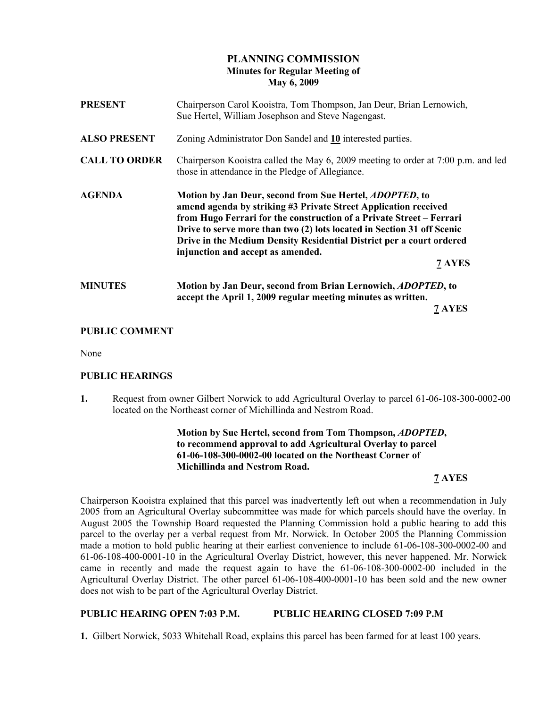# PLANNING COMMISSION Minutes for Regular Meeting of May 6, 2009

| <b>PRESENT</b>       | Chairperson Carol Kooistra, Tom Thompson, Jan Deur, Brian Lernowich,<br>Sue Hertel, William Josephson and Steve Nagengast.                                                                                                                                                                                                                                                                          |
|----------------------|-----------------------------------------------------------------------------------------------------------------------------------------------------------------------------------------------------------------------------------------------------------------------------------------------------------------------------------------------------------------------------------------------------|
| <b>ALSO PRESENT</b>  | Zoning Administrator Don Sandel and 10 interested parties.                                                                                                                                                                                                                                                                                                                                          |
| <b>CALL TO ORDER</b> | Chairperson Kooistra called the May 6, 2009 meeting to order at 7:00 p.m. and led<br>those in attendance in the Pledge of Allegiance.                                                                                                                                                                                                                                                               |
| <b>AGENDA</b>        | Motion by Jan Deur, second from Sue Hertel, ADOPTED, to<br>amend agenda by striking #3 Private Street Application received<br>from Hugo Ferrari for the construction of a Private Street – Ferrari<br>Drive to serve more than two (2) lots located in Section 31 off Scenic<br>Drive in the Medium Density Residential District per a court ordered<br>injunction and accept as amended.<br>7 AYES |
| <b>MINUTES</b>       | Motion by Jan Deur, second from Brian Lernowich, <i>ADOPTED</i> , to<br>accept the April 1, 2009 regular meeting minutes as written.<br>7 AYES                                                                                                                                                                                                                                                      |

# PUBLIC COMMENT

None

### PUBLIC HEARINGS

1. Request from owner Gilbert Norwick to add Agricultural Overlay to parcel 61-06-108-300-0002-00 located on the Northeast corner of Michillinda and Nestrom Road.

> Motion by Sue Hertel, second from Tom Thompson, ADOPTED, to recommend approval to add Agricultural Overlay to parcel 61-06-108-300-0002-00 located on the Northeast Corner of Michillinda and Nestrom Road.

# 7 AYES

Chairperson Kooistra explained that this parcel was inadvertently left out when a recommendation in July 2005 from an Agricultural Overlay subcommittee was made for which parcels should have the overlay. In August 2005 the Township Board requested the Planning Commission hold a public hearing to add this parcel to the overlay per a verbal request from Mr. Norwick. In October 2005 the Planning Commission made a motion to hold public hearing at their earliest convenience to include 61-06-108-300-0002-00 and 61-06-108-400-0001-10 in the Agricultural Overlay District, however, this never happened. Mr. Norwick came in recently and made the request again to have the 61-06-108-300-0002-00 included in the Agricultural Overlay District. The other parcel 61-06-108-400-0001-10 has been sold and the new owner does not wish to be part of the Agricultural Overlay District.

### PUBLIC HEARING OPEN 7:03 P.M. PUBLIC HEARING CLOSED 7:09 P.M

1. Gilbert Norwick, 5033 Whitehall Road, explains this parcel has been farmed for at least 100 years.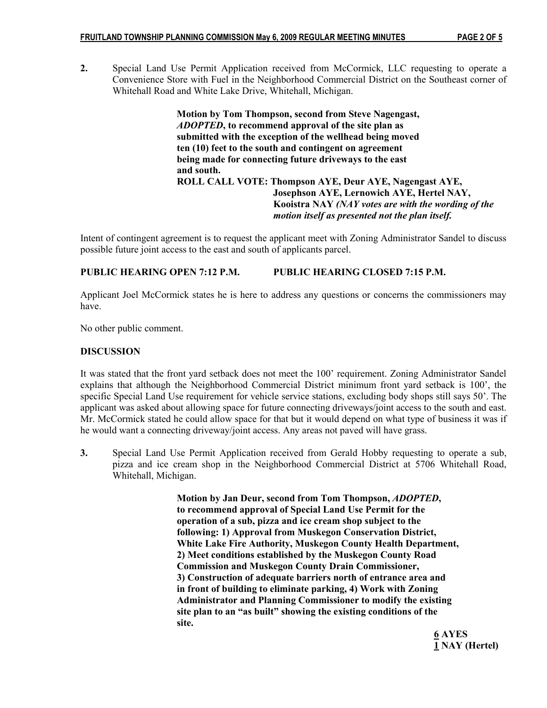2. Special Land Use Permit Application received from McCormick, LLC requesting to operate a Convenience Store with Fuel in the Neighborhood Commercial District on the Southeast corner of Whitehall Road and White Lake Drive, Whitehall, Michigan.

> Motion by Tom Thompson, second from Steve Nagengast, ADOPTED, to recommend approval of the site plan as submitted with the exception of the wellhead being moved ten (10) feet to the south and contingent on agreement being made for connecting future driveways to the east and south. ROLL CALL VOTE: Thompson AYE, Deur AYE, Nagengast AYE, Josephson AYE, Lernowich AYE, Hertel NAY, Kooistra NAY (NAY votes are with the wording of the motion itself as presented not the plan itself.

Intent of contingent agreement is to request the applicant meet with Zoning Administrator Sandel to discuss possible future joint access to the east and south of applicants parcel.

# PUBLIC HEARING OPEN 7:12 P.M. PUBLIC HEARING CLOSED 7:15 P.M.

Applicant Joel McCormick states he is here to address any questions or concerns the commissioners may have.

No other public comment.

### **DISCUSSION**

It was stated that the front yard setback does not meet the 100' requirement. Zoning Administrator Sandel explains that although the Neighborhood Commercial District minimum front yard setback is 100', the specific Special Land Use requirement for vehicle service stations, excluding body shops still says 50'. The applicant was asked about allowing space for future connecting driveways/joint access to the south and east. Mr. McCormick stated he could allow space for that but it would depend on what type of business it was if he would want a connecting driveway/joint access. Any areas not paved will have grass.

3. Special Land Use Permit Application received from Gerald Hobby requesting to operate a sub, pizza and ice cream shop in the Neighborhood Commercial District at 5706 Whitehall Road, Whitehall, Michigan.

> Motion by Jan Deur, second from Tom Thompson, ADOPTED, to recommend approval of Special Land Use Permit for the operation of a sub, pizza and ice cream shop subject to the following: 1) Approval from Muskegon Conservation District, White Lake Fire Authority, Muskegon County Health Department, 2) Meet conditions established by the Muskegon County Road Commission and Muskegon County Drain Commissioner, 3) Construction of adequate barriers north of entrance area and in front of building to eliminate parking, 4) Work with Zoning Administrator and Planning Commissioner to modify the existing site plan to an "as built" showing the existing conditions of the site.

<u>6</u> AYES 1 NAY (Hertel)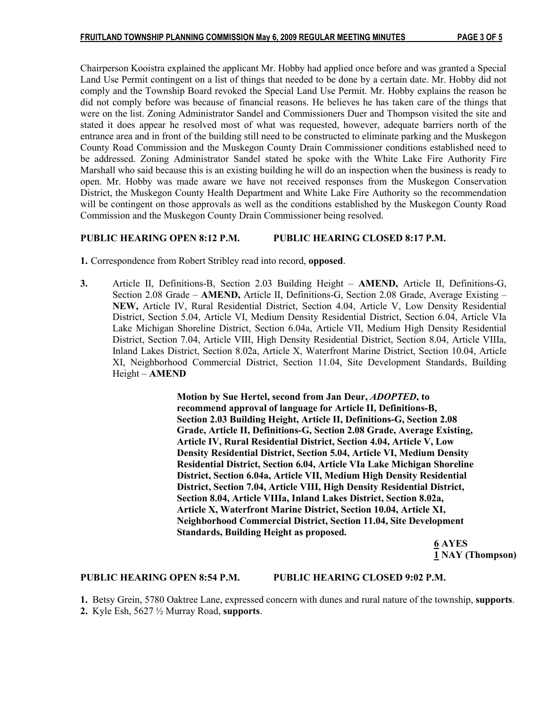Chairperson Kooistra explained the applicant Mr. Hobby had applied once before and was granted a Special Land Use Permit contingent on a list of things that needed to be done by a certain date. Mr. Hobby did not comply and the Township Board revoked the Special Land Use Permit. Mr. Hobby explains the reason he did not comply before was because of financial reasons. He believes he has taken care of the things that were on the list. Zoning Administrator Sandel and Commissioners Duer and Thompson visited the site and stated it does appear he resolved most of what was requested, however, adequate barriers north of the entrance area and in front of the building still need to be constructed to eliminate parking and the Muskegon County Road Commission and the Muskegon County Drain Commissioner conditions established need to be addressed. Zoning Administrator Sandel stated he spoke with the White Lake Fire Authority Fire Marshall who said because this is an existing building he will do an inspection when the business is ready to open. Mr. Hobby was made aware we have not received responses from the Muskegon Conservation District, the Muskegon County Health Department and White Lake Fire Authority so the recommendation will be contingent on those approvals as well as the conditions established by the Muskegon County Road Commission and the Muskegon County Drain Commissioner being resolved.

# PUBLIC HEARING OPEN 8:12 P.M. PUBLIC HEARING CLOSED 8:17 P.M.

1. Correspondence from Robert Stribley read into record, opposed.

3. Article II, Definitions-B, Section 2.03 Building Height – AMEND, Article II, Definitions-G, Section 2.08 Grade – **AMEND,** Article II, Definitions-G, Section 2.08 Grade, Average Existing – NEW, Article IV, Rural Residential District, Section 4.04, Article V, Low Density Residential District, Section 5.04, Article VI, Medium Density Residential District, Section 6.04, Article VIa Lake Michigan Shoreline District, Section 6.04a, Article VII, Medium High Density Residential District, Section 7.04, Article VIII, High Density Residential District, Section 8.04, Article VIIIa, Inland Lakes District, Section 8.02a, Article X, Waterfront Marine District, Section 10.04, Article XI, Neighborhood Commercial District, Section 11.04, Site Development Standards, Building Height – AMEND

> Motion by Sue Hertel, second from Jan Deur, ADOPTED, to recommend approval of language for Article II, Definitions-B, Section 2.03 Building Height, Article II, Definitions-G, Section 2.08 Grade, Article II, Definitions-G, Section 2.08 Grade, Average Existing, Article IV, Rural Residential District, Section 4.04, Article V, Low Density Residential District, Section 5.04, Article VI, Medium Density Residential District, Section 6.04, Article VIa Lake Michigan Shoreline District, Section 6.04a, Article VII, Medium High Density Residential District, Section 7.04, Article VIII, High Density Residential District, Section 8.04, Article VIIIa, Inland Lakes District, Section 8.02a, Article X, Waterfront Marine District, Section 10.04, Article XI, Neighborhood Commercial District, Section 11.04, Site Development Standards, Building Height as proposed.

<u>6</u> AYES 1 NAY (Thompson)

### PUBLIC HEARING OPEN 8:54 P.M. PUBLIC HEARING CLOSED 9:02 P.M.

1. Betsy Grein, 5780 Oaktree Lane, expressed concern with dunes and rural nature of the township, supports.

2. Kyle Esh, 5627 ½ Murray Road, supports.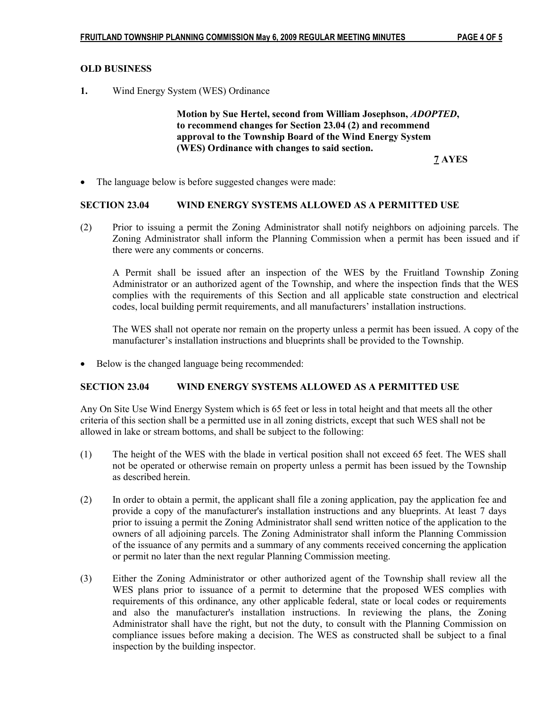# OLD BUSINESS

1. Wind Energy System (WES) Ordinance

 Motion by Sue Hertel, second from William Josephson, ADOPTED, to recommend changes for Section 23.04 (2) and recommend approval to the Township Board of the Wind Energy System (WES) Ordinance with changes to said section.

7 AYES

• The language below is before suggested changes were made:

#### SECTION 23.04 WIND ENERGY SYSTEMS ALLOWED AS A PERMITTED USE

(2) Prior to issuing a permit the Zoning Administrator shall notify neighbors on adjoining parcels. The Zoning Administrator shall inform the Planning Commission when a permit has been issued and if there were any comments or concerns.

A Permit shall be issued after an inspection of the WES by the Fruitland Township Zoning Administrator or an authorized agent of the Township, and where the inspection finds that the WES complies with the requirements of this Section and all applicable state construction and electrical codes, local building permit requirements, and all manufacturers' installation instructions.

The WES shall not operate nor remain on the property unless a permit has been issued. A copy of the manufacturer's installation instructions and blueprints shall be provided to the Township.

Below is the changed language being recommended:

#### SECTION 23.04 WIND ENERGY SYSTEMS ALLOWED AS A PERMITTED USE

Any On Site Use Wind Energy System which is 65 feet or less in total height and that meets all the other criteria of this section shall be a permitted use in all zoning districts, except that such WES shall not be allowed in lake or stream bottoms, and shall be subject to the following:

- (1) The height of the WES with the blade in vertical position shall not exceed 65 feet. The WES shall not be operated or otherwise remain on property unless a permit has been issued by the Township as described herein.
- (2) In order to obtain a permit, the applicant shall file a zoning application, pay the application fee and provide a copy of the manufacturer's installation instructions and any blueprints. At least 7 days prior to issuing a permit the Zoning Administrator shall send written notice of the application to the owners of all adjoining parcels. The Zoning Administrator shall inform the Planning Commission of the issuance of any permits and a summary of any comments received concerning the application or permit no later than the next regular Planning Commission meeting.
- (3) Either the Zoning Administrator or other authorized agent of the Township shall review all the WES plans prior to issuance of a permit to determine that the proposed WES complies with requirements of this ordinance, any other applicable federal, state or local codes or requirements and also the manufacturer's installation instructions. In reviewing the plans, the Zoning Administrator shall have the right, but not the duty, to consult with the Planning Commission on compliance issues before making a decision. The WES as constructed shall be subject to a final inspection by the building inspector.